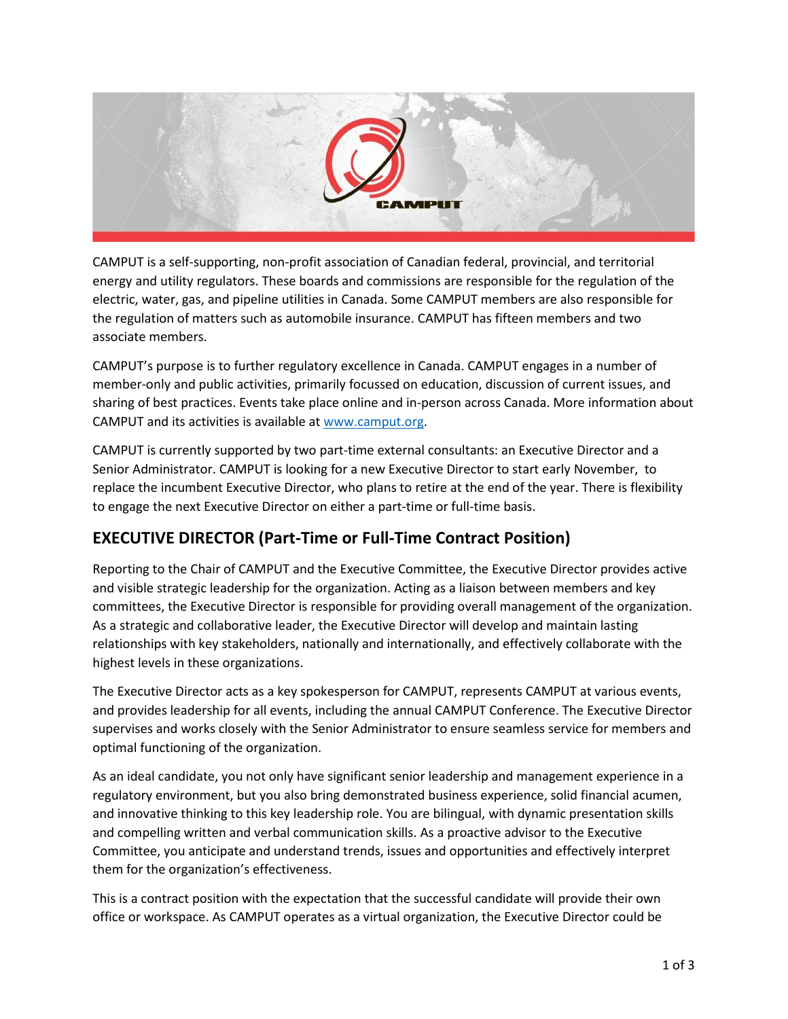

CAMPUT is a self-supporting, non-profit association of Canadian federal, provincial, and territorial energy and utility regulators. These boards and commissions are responsible for the regulation of the electric, water, gas, and pipeline utilities in Canada. Some CAMPUT members are also responsible for the regulation of matters such as automobile insurance. CAMPUT has fifteen members and two associate members.

CAMPUT's purpose is to further regulatory excellence in Canada. CAMPUT engages in a number of member-only and public activities, primarily focussed on education, discussion of current issues, and sharing of best practices. Events take place online and in-person across Canada. More information about CAMPUT and its activities is available a[t www.camput.org.](http://www.camput.org/)

CAMPUT is currently supported by two part-time external consultants: an Executive Director and a Senior Administrator. CAMPUT is looking for a new Executive Director to start early November, to replace the incumbent Executive Director, who plans to retire at the end of the year. There is flexibility to engage the next Executive Director on either a part-time or full-time basis.

# **EXECUTIVE DIRECTOR (Part-Time or Full-Time Contract Position)**

Reporting to the Chair of CAMPUT and the Executive Committee, the Executive Director provides active and visible strategic leadership for the organization. Acting as a liaison between members and key committees, the Executive Director is responsible for providing overall management of the organization. As a strategic and collaborative leader, the Executive Director will develop and maintain lasting relationships with key stakeholders, nationally and internationally, and effectively collaborate with the highest levels in these organizations.

The Executive Director acts as a key spokesperson for CAMPUT, represents CAMPUT at various events, and provides leadership for all events, including the annual CAMPUT Conference. The Executive Director supervises and works closely with the Senior Administrator to ensure seamless service for members and optimal functioning of the organization.

As an ideal candidate, you not only have significant senior leadership and management experience in a regulatory environment, but you also bring demonstrated business experience, solid financial acumen, and innovative thinking to this key leadership role. You are bilingual, with dynamic presentation skills and compelling written and verbal communication skills. As a proactive advisor to the Executive Committee, you anticipate and understand trends, issues and opportunities and effectively interpret them for the organization's effectiveness.

This is a contract position with the expectation that the successful candidate will provide their own office or workspace. As CAMPUT operates as a virtual organization, the Executive Director could be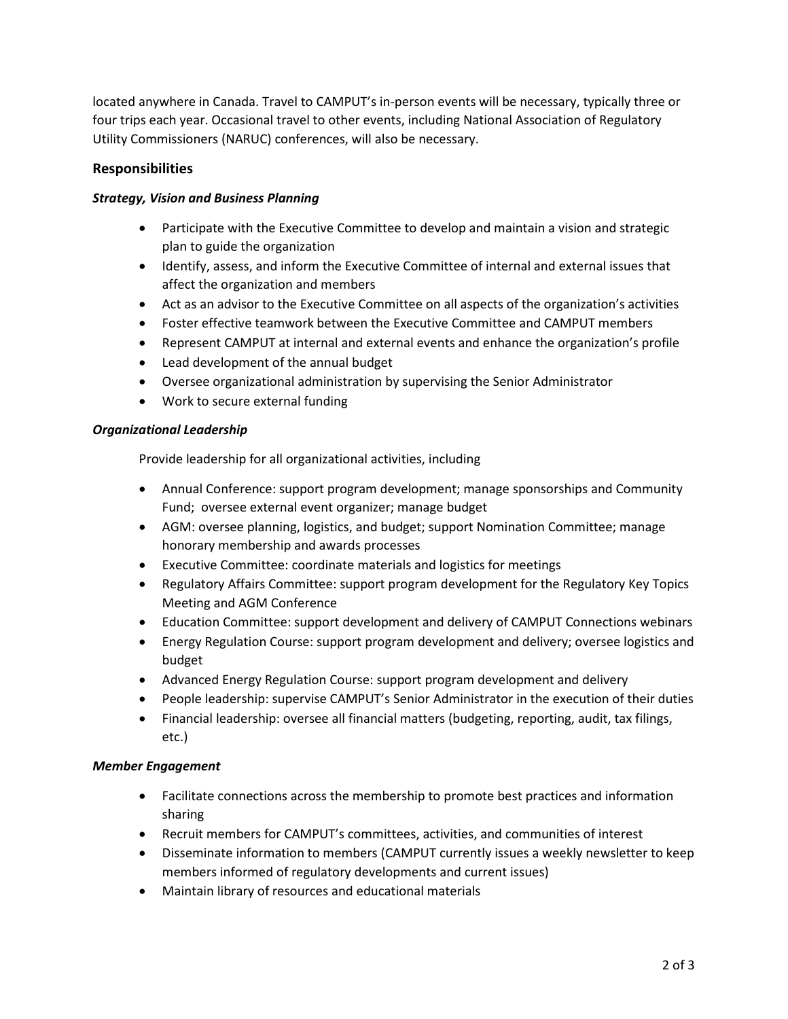located anywhere in Canada. Travel to CAMPUT's in-person events will be necessary, typically three or four trips each year. Occasional travel to other events, including National Association of Regulatory Utility Commissioners (NARUC) conferences, will also be necessary.

## **Responsibilities**

#### *Strategy, Vision and Business Planning*

- Participate with the Executive Committee to develop and maintain a vision and strategic plan to guide the organization
- Identify, assess, and inform the Executive Committee of internal and external issues that affect the organization and members
- Act as an advisor to the Executive Committee on all aspects of the organization's activities
- Foster effective teamwork between the Executive Committee and CAMPUT members
- Represent CAMPUT at internal and external events and enhance the organization's profile
- Lead development of the annual budget
- Oversee organizational administration by supervising the Senior Administrator
- Work to secure external funding

#### *Organizational Leadership*

Provide leadership for all organizational activities, including

- Annual Conference: support program development; manage sponsorships and Community Fund; oversee external event organizer; manage budget
- AGM: oversee planning, logistics, and budget; support Nomination Committee; manage honorary membership and awards processes
- Executive Committee: coordinate materials and logistics for meetings
- Regulatory Affairs Committee: support program development for the Regulatory Key Topics Meeting and AGM Conference
- Education Committee: support development and delivery of CAMPUT Connections webinars
- Energy Regulation Course: support program development and delivery; oversee logistics and budget
- Advanced Energy Regulation Course: support program development and delivery
- People leadership: supervise CAMPUT's Senior Administrator in the execution of their duties
- Financial leadership: oversee all financial matters (budgeting, reporting, audit, tax filings, etc.)

#### *Member Engagement*

- Facilitate connections across the membership to promote best practices and information sharing
- Recruit members for CAMPUT's committees, activities, and communities of interest
- Disseminate information to members (CAMPUT currently issues a weekly newsletter to keep members informed of regulatory developments and current issues)
- Maintain library of resources and educational materials